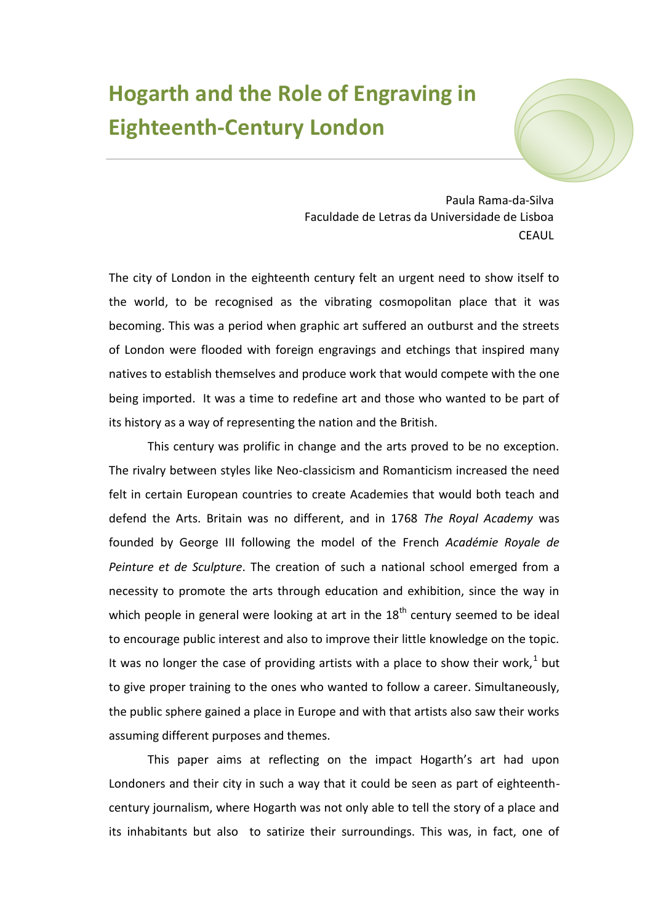## **Hogarth and the Role of Engraving in Eighteenth-Century London**



Paula Rama-da-Silva Faculdade de Letras da Universidade de Lisboa **CEAUL** 

The city of London in the eighteenth century felt an urgent need to show itself to the world, to be recognised as the vibrating cosmopolitan place that it was becoming. This was a period when graphic art suffered an outburst and the streets of London were flooded with foreign engravings and etchings that inspired many natives to establish themselves and produce work that would compete with the one being imported. It was a time to redefine art and those who wanted to be part of its history as a way of representing the nation and the British.

This century was prolific in change and the arts proved to be no exception. The rivalry between styles like Neo-classicism and Romanticism increased the need felt in certain European countries to create Academies that would both teach and defend the Arts. Britain was no different, and in 1768 *The Royal Academy* was founded by George III following the model of the French *Académie Royale de Peinture et de Sculpture*. The creation of such a national school emerged from a necessity to promote the arts through education and exhibition, since the way in which people in general were looking at art in the  $18<sup>th</sup>$  century seemed to be ideal to encourage public interest and also to improve their little knowledge on the topic. It was no longer the case of providing artists with a place to show their work,<sup>1</sup> but to give proper training to the ones who wanted to follow a career. Simultaneously, the public sphere gained a place in Europe and with that artists also saw their works assuming different purposes and themes.

This paper aims at reflecting on the impact Hogarth's art had upon Londoners and their city in such a way that it could be seen as part of eighteenthcentury journalism, where Hogarth was not only able to tell the story of a place and its inhabitants but also to satirize their surroundings. This was, in fact, one of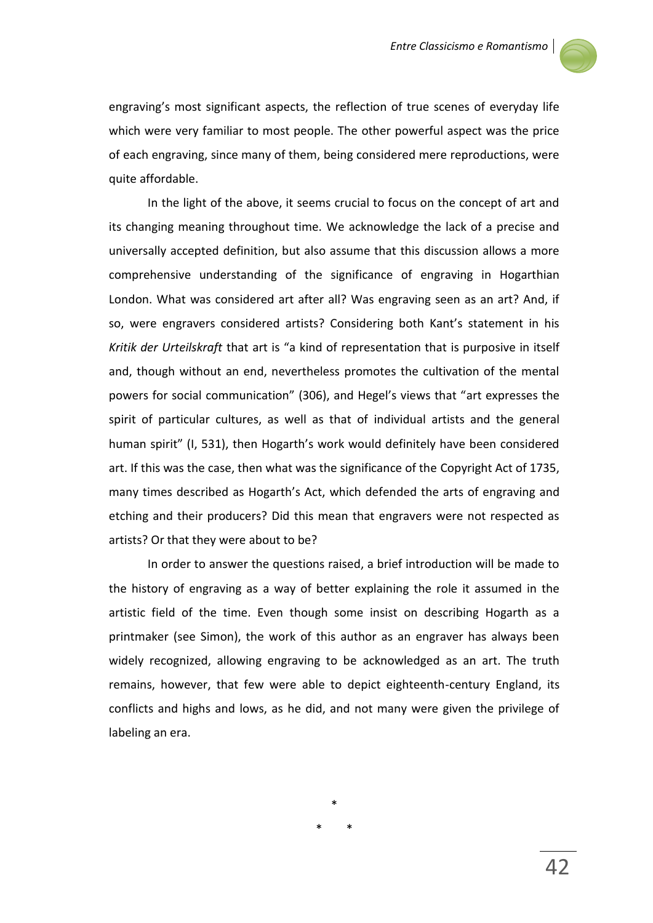

engraving's most significant aspects, the reflection of true scenes of everyday life which were very familiar to most people. The other powerful aspect was the price of each engraving, since many of them, being considered mere reproductions, were quite affordable.

In the light of the above, it seems crucial to focus on the concept of art and its changing meaning throughout time. We acknowledge the lack of a precise and universally accepted definition, but also assume that this discussion allows a more comprehensive understanding of the significance of engraving in Hogarthian London. What was considered art after all? Was engraving seen as an art? And, if so, were engravers considered artists? Considering both Kant's statement in his *Kritik der Urteilskraft* that art is "a kind of representation that is purposive in itself and, though without an end, nevertheless promotes the cultivation of the mental powers for social communication" (306), and Hegel's views that "art expresses the spirit of particular cultures, as well as that of individual artists and the general human spirit" (I, 531), then Hogarth's work would definitely have been considered art. If this was the case, then what was the significance of the Copyright Act of 1735, many times described as Hogarth's Act, which defended the arts of engraving and etching and their producers? Did this mean that engravers were not respected as artists? Or that they were about to be?

In order to answer the questions raised, a brief introduction will be made to the history of engraving as a way of better explaining the role it assumed in the artistic field of the time. Even though some insist on describing Hogarth as a printmaker (see Simon), the work of this author as an engraver has always been widely recognized, allowing engraving to be acknowledged as an art. The truth remains, however, that few were able to depict eighteenth-century England, its conflicts and highs and lows, as he did, and not many were given the privilege of labeling an era.

\*

\* \*

42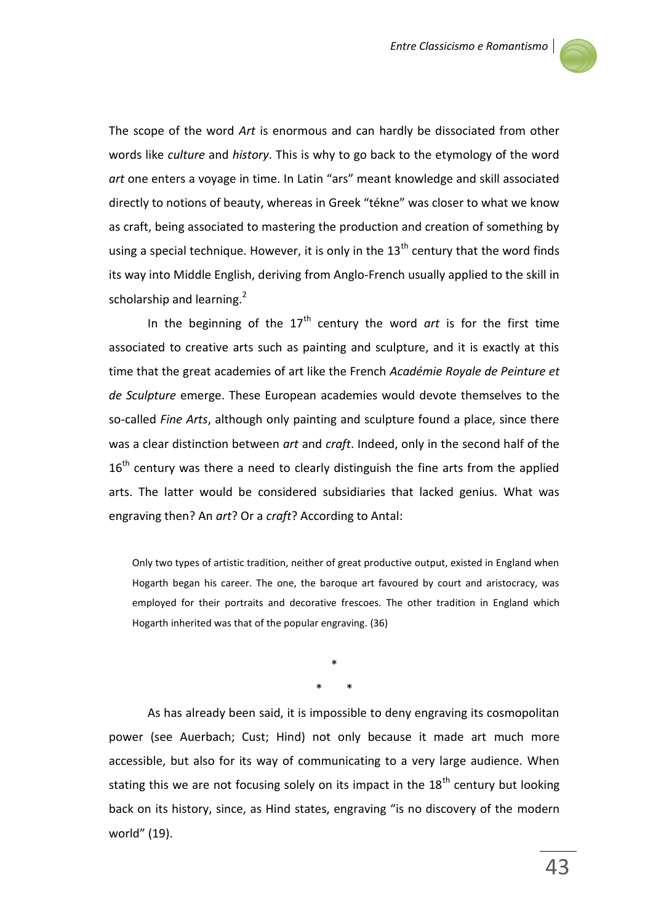

The scope of the word *Art* is enormous and can hardly be dissociated from other words like *culture* and *history*. This is why to go back to the etymology of the word *art* one enters a voyage in time. In Latin "ars" meant knowledge and skill associated directly to notions of beauty, whereas in Greek "tékne" was closer to what we know as craft, being associated to mastering the production and creation of something by using a special technique. However, it is only in the  $13<sup>th</sup>$  century that the word finds its way into Middle English, deriving from Anglo-French usually applied to the skill in scholarship and learning. $2$ 

In the beginning of the 17<sup>th</sup> century the word *art* is for the first time associated to creative arts such as painting and sculpture, and it is exactly at this time that the great academies of art like the French *Académie Royale de Peinture et de Sculpture* emerge. These European academies would devote themselves to the so-called *Fine Arts*, although only painting and sculpture found a place, since there was a clear distinction between *art* and *craft*. Indeed, only in the second half of the  $16<sup>th</sup>$  century was there a need to clearly distinguish the fine arts from the applied arts. The latter would be considered subsidiaries that lacked genius. What was engraving then? An *art*? Or a *craft*? According to Antal:

Only two types of artistic tradition, neither of great productive output, existed in England when Hogarth began his career. The one, the baroque art favoured by court and aristocracy, was employed for their portraits and decorative frescoes. The other tradition in England which Hogarth inherited was that of the popular engraving. (36)

> \* \* \*

As has already been said, it is impossible to deny engraving its cosmopolitan power (see Auerbach; Cust; Hind) not only because it made art much more accessible, but also for its way of communicating to a very large audience. When stating this we are not focusing solely on its impact in the  $18<sup>th</sup>$  century but looking back on its history, since, as Hind states, engraving "is no discovery of the modern world" (19).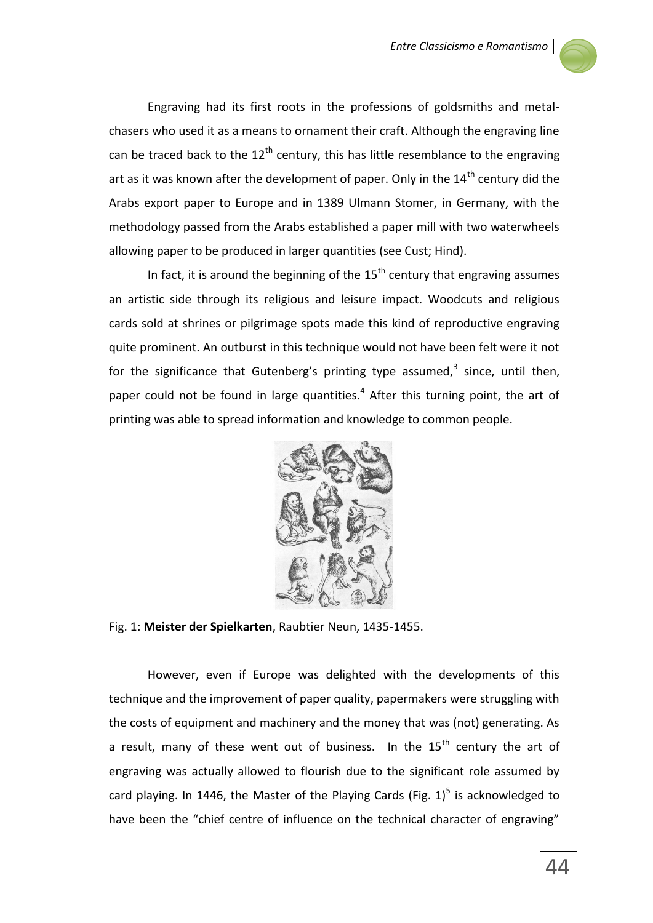

Engraving had its first roots in the professions of goldsmiths and metalchasers who used it as a means to ornament their craft. Although the engraving line can be traced back to the  $12<sup>th</sup>$  century, this has little resemblance to the engraving art as it was known after the development of paper. Only in the  $14<sup>th</sup>$  century did the Arabs export paper to Europe and in 1389 Ulmann Stomer, in Germany, with the methodology passed from the Arabs established a paper mill with two waterwheels allowing paper to be produced in larger quantities (see Cust; Hind).

In fact, it is around the beginning of the  $15<sup>th</sup>$  century that engraving assumes an artistic side through its religious and leisure impact. Woodcuts and religious cards sold at shrines or pilgrimage spots made this kind of reproductive engraving quite prominent. An outburst in this technique would not have been felt were it not for the significance that Gutenberg's printing type assumed,<sup>3</sup> since, until then, paper could not be found in large quantities. $4$  After this turning point, the art of printing was able to spread information and knowledge to common people.



Fig. 1: **Meister der Spielkarten**, Raubtier Neun, 1435-1455.

However, even if Europe was delighted with the developments of this technique and the improvement of paper quality, papermakers were struggling with the costs of equipment and machinery and the money that was (not) generating. As a result, many of these went out of business. In the  $15<sup>th</sup>$  century the art of engraving was actually allowed to flourish due to the significant role assumed by card playing. In 1446, the Master of the Playing Cards (Fig.  $1)^5$  is acknowledged to have been the "chief centre of influence on the technical character of engraving"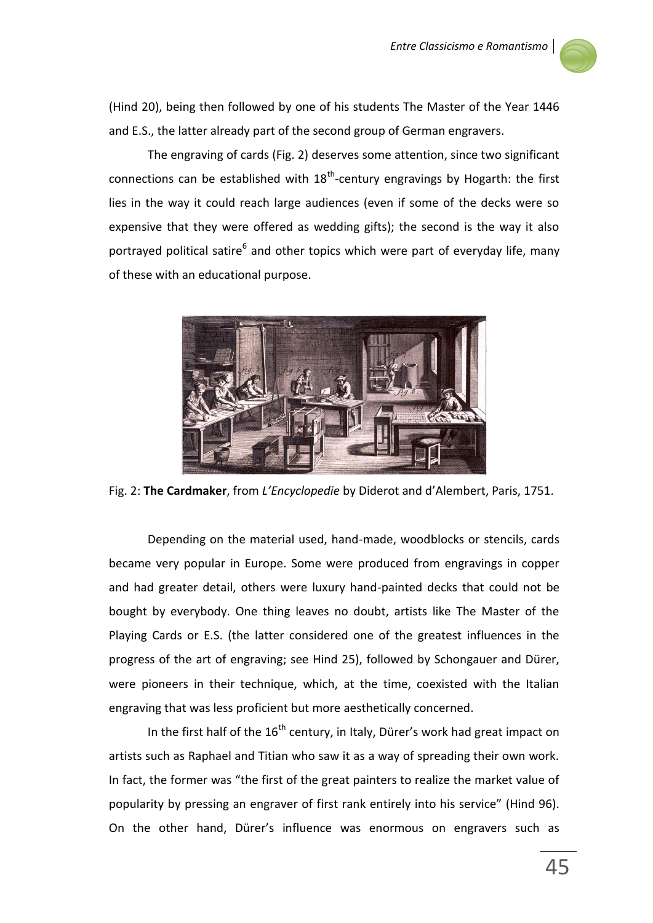

(Hind 20), being then followed by one of his students The Master of the Year 1446 and E.S., the latter already part of the second group of German engravers.

The engraving of cards (Fig. 2) deserves some attention, since two significant connections can be established with  $18<sup>th</sup>$ -century engravings by Hogarth: the first lies in the way it could reach large audiences (even if some of the decks were so expensive that they were offered as wedding gifts); the second is the way it also portrayed political satire<sup>6</sup> and other topics which were part of everyday life, many of these with an educational purpose.



Fig. 2: **The Cardmaker**, from *L'Encyclopedie* by Diderot and d'Alembert, Paris, 1751.

Depending on the material used, hand-made, woodblocks or stencils, cards became very popular in Europe. Some were produced from engravings in copper and had greater detail, others were luxury hand-painted decks that could not be bought by everybody. One thing leaves no doubt, artists like The Master of the Playing Cards or E.S. (the latter considered one of the greatest influences in the progress of the art of engraving; see Hind 25), followed by Schongauer and Dürer, were pioneers in their technique, which, at the time, coexisted with the Italian engraving that was less proficient but more aesthetically concerned.

In the first half of the  $16<sup>th</sup>$  century, in Italy, Dürer's work had great impact on artists such as Raphael and Titian who saw it as a way of spreading their own work. In fact, the former was "the first of the great painters to realize the market value of popularity by pressing an engraver of first rank entirely into his service" (Hind 96). On the other hand, Dürer's influence was enormous on engravers such as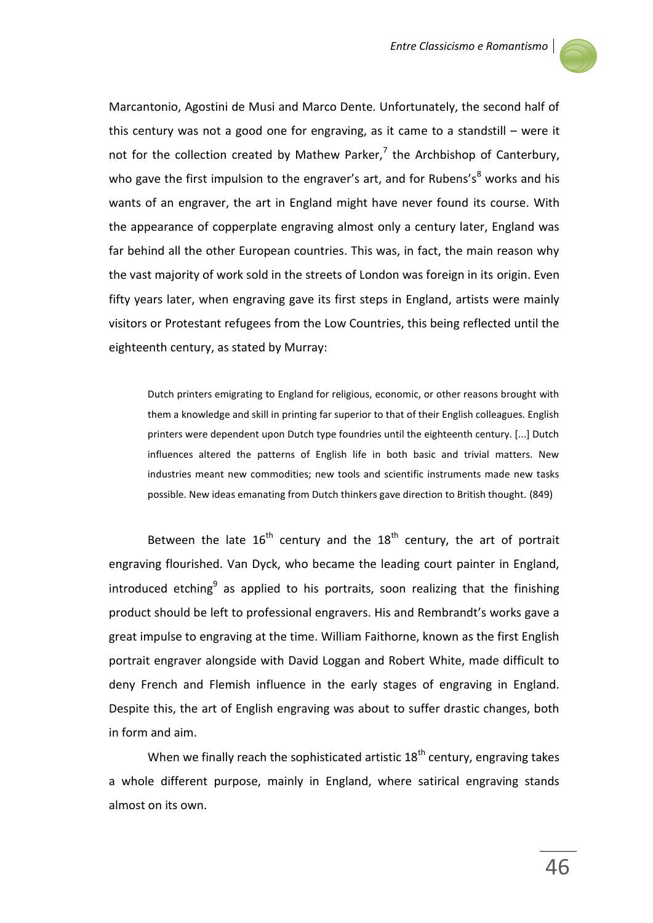

Marcantonio, Agostini de Musi and Marco Dente. Unfortunately, the second half of this century was not a good one for engraving, as it came to a standstill – were it not for the collection created by Mathew Parker, $^7$  the Archbishop of Canterbury, who gave the first impulsion to the engraver's art, and for Rubens's<sup>8</sup> works and his wants of an engraver, the art in England might have never found its course. With the appearance of copperplate engraving almost only a century later, England was far behind all the other European countries. This was, in fact, the main reason why the vast majority of work sold in the streets of London was foreign in its origin. Even fifty years later, when engraving gave its first steps in England, artists were mainly visitors or Protestant refugees from the Low Countries, this being reflected until the eighteenth century, as stated by Murray:

Dutch printers emigrating to England for religious, economic, or other reasons brought with them a knowledge and skill in printing far superior to that of their English colleagues. English printers were dependent upon Dutch type foundries until the eighteenth century. [...] Dutch influences altered the patterns of English life in both basic and trivial matters. New industries meant new commodities; new tools and scientific instruments made new tasks possible. New ideas emanating from Dutch thinkers gave direction to British thought. (849)

Between the late  $16^{th}$  century and the  $18^{th}$  century, the art of portrait engraving flourished. Van Dyck, who became the leading court painter in England, introduced etching<sup>9</sup> as applied to his portraits, soon realizing that the finishing product should be left to professional engravers. His and Rembrandt's works gave a great impulse to engraving at the time. William Faithorne, known as the first English portrait engraver alongside with David Loggan and Robert White, made difficult to deny French and Flemish influence in the early stages of engraving in England. Despite this, the art of English engraving was about to suffer drastic changes, both in form and aim.

When we finally reach the sophisticated artistic  $18<sup>th</sup>$  century, engraving takes a whole different purpose, mainly in England, where satirical engraving stands almost on its own.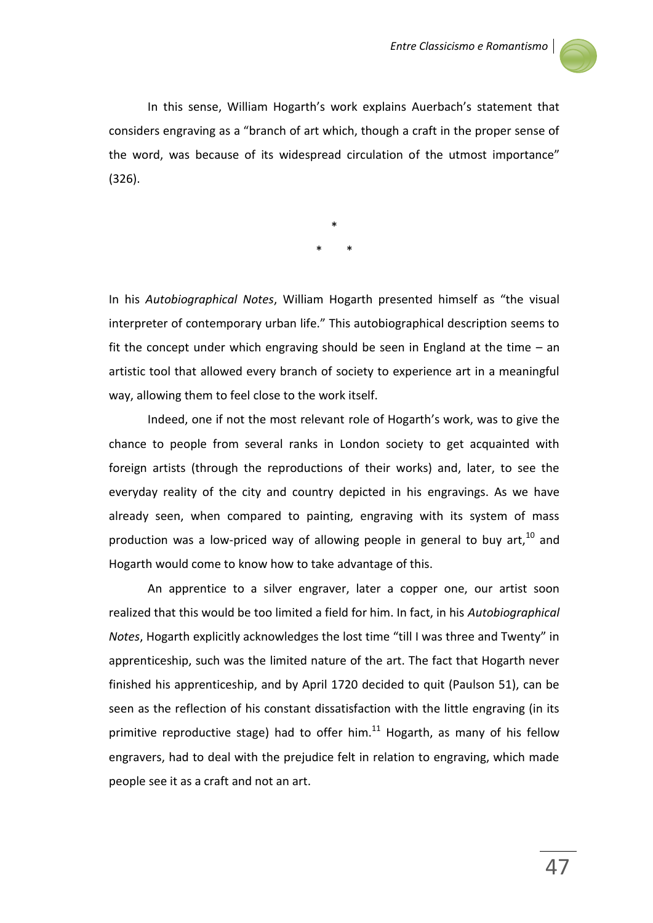

In this sense, William Hogarth's work explains Auerbach's statement that considers engraving as a "branch of art which, though a craft in the proper sense of the word, was because of its widespread circulation of the utmost importance" (326).

> \* \* \*

In his *Autobiographical Notes*, William Hogarth presented himself as "the visual interpreter of contemporary urban life." This autobiographical description seems to fit the concept under which engraving should be seen in England at the time – an artistic tool that allowed every branch of society to experience art in a meaningful way, allowing them to feel close to the work itself.

Indeed, one if not the most relevant role of Hogarth's work, was to give the chance to people from several ranks in London society to get acquainted with foreign artists (through the reproductions of their works) and, later, to see the everyday reality of the city and country depicted in his engravings. As we have already seen, when compared to painting, engraving with its system of mass production was a low-priced way of allowing people in general to buy art, $^{10}$  and Hogarth would come to know how to take advantage of this.

An apprentice to a silver engraver, later a copper one, our artist soon realized that this would be too limited a field for him. In fact, in his *Autobiographical Notes*, Hogarth explicitly acknowledges the lost time "till I was three and Twenty" in apprenticeship, such was the limited nature of the art. The fact that Hogarth never finished his apprenticeship, and by April 1720 decided to quit (Paulson 51), can be seen as the reflection of his constant dissatisfaction with the little engraving (in its primitive reproductive stage) had to offer him. $^{11}$  Hogarth, as many of his fellow engravers, had to deal with the prejudice felt in relation to engraving, which made people see it as a craft and not an art.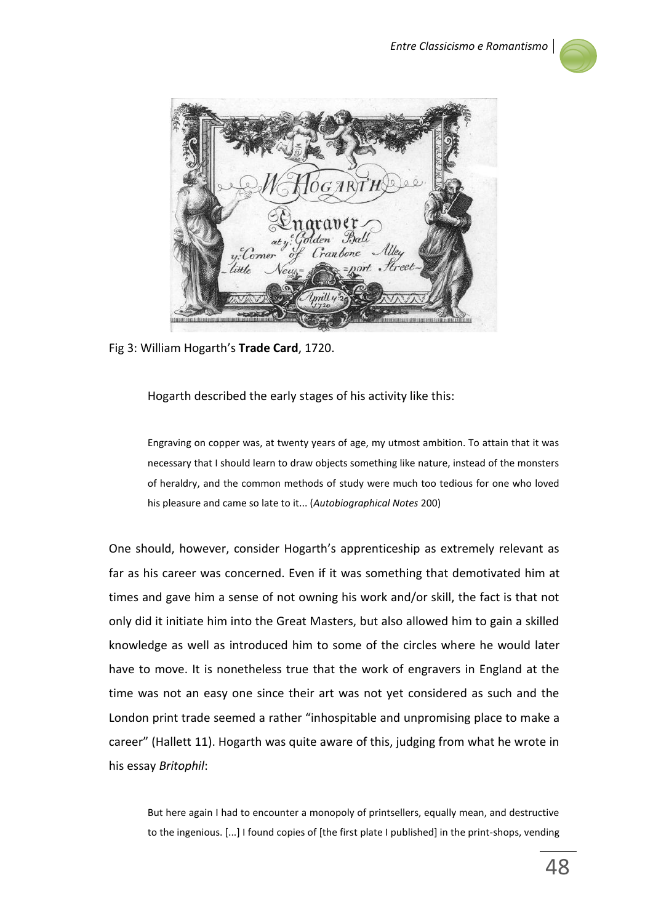

Corner

Fig 3: William Hogarth's **Trade Card**, 1720.

Hogarth described the early stages of his activity like this:

Engraving on copper was, at twenty years of age, my utmost ambition. To attain that it was necessary that I should learn to draw objects something like nature, instead of the monsters of heraldry, and the common methods of study were much too tedious for one who loved his pleasure and came so late to it... (*Autobiographical Notes* 200)

One should, however, consider Hogarth's apprenticeship as extremely relevant as far as his career was concerned. Even if it was something that demotivated him at times and gave him a sense of not owning his work and/or skill, the fact is that not only did it initiate him into the Great Masters, but also allowed him to gain a skilled knowledge as well as introduced him to some of the circles where he would later have to move. It is nonetheless true that the work of engravers in England at the time was not an easy one since their art was not yet considered as such and the London print trade seemed a rather "inhospitable and unpromising place to make a career" (Hallett 11). Hogarth was quite aware of this, judging from what he wrote in his essay *Britophil*:

But here again I had to encounter a monopoly of printsellers, equally mean, and destructive to the ingenious. [...] I found copies of [the first plate I published] in the print-shops, vending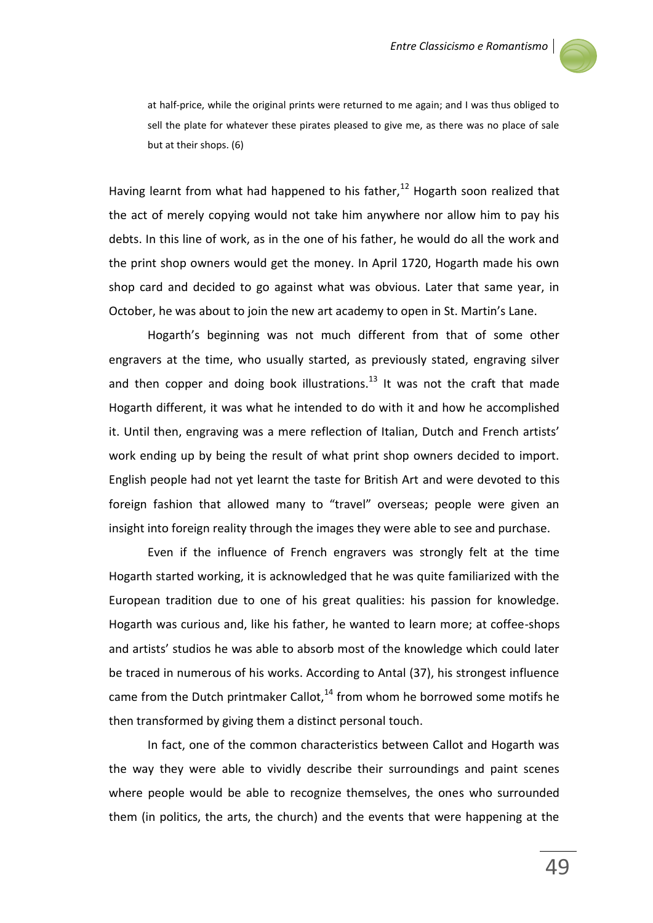

at half-price, while the original prints were returned to me again; and I was thus obliged to sell the plate for whatever these pirates pleased to give me, as there was no place of sale but at their shops. (6)

Having learnt from what had happened to his father.<sup>12</sup> Hogarth soon realized that the act of merely copying would not take him anywhere nor allow him to pay his debts. In this line of work, as in the one of his father, he would do all the work and the print shop owners would get the money. In April 1720, Hogarth made his own shop card and decided to go against what was obvious. Later that same year, in October, he was about to join the new art academy to open in St. Martin's Lane.

Hogarth's beginning was not much different from that of some other engravers at the time, who usually started, as previously stated, engraving silver and then copper and doing book illustrations.<sup>13</sup> It was not the craft that made Hogarth different, it was what he intended to do with it and how he accomplished it. Until then, engraving was a mere reflection of Italian, Dutch and French artists' work ending up by being the result of what print shop owners decided to import. English people had not yet learnt the taste for British Art and were devoted to this foreign fashion that allowed many to "travel" overseas; people were given an insight into foreign reality through the images they were able to see and purchase.

Even if the influence of French engravers was strongly felt at the time Hogarth started working, it is acknowledged that he was quite familiarized with the European tradition due to one of his great qualities: his passion for knowledge. Hogarth was curious and, like his father, he wanted to learn more; at coffee-shops and artists' studios he was able to absorb most of the knowledge which could later be traced in numerous of his works. According to Antal (37), his strongest influence came from the Dutch printmaker Callot, $14$  from whom he borrowed some motifs he then transformed by giving them a distinct personal touch.

In fact, one of the common characteristics between Callot and Hogarth was the way they were able to vividly describe their surroundings and paint scenes where people would be able to recognize themselves, the ones who surrounded them (in politics, the arts, the church) and the events that were happening at the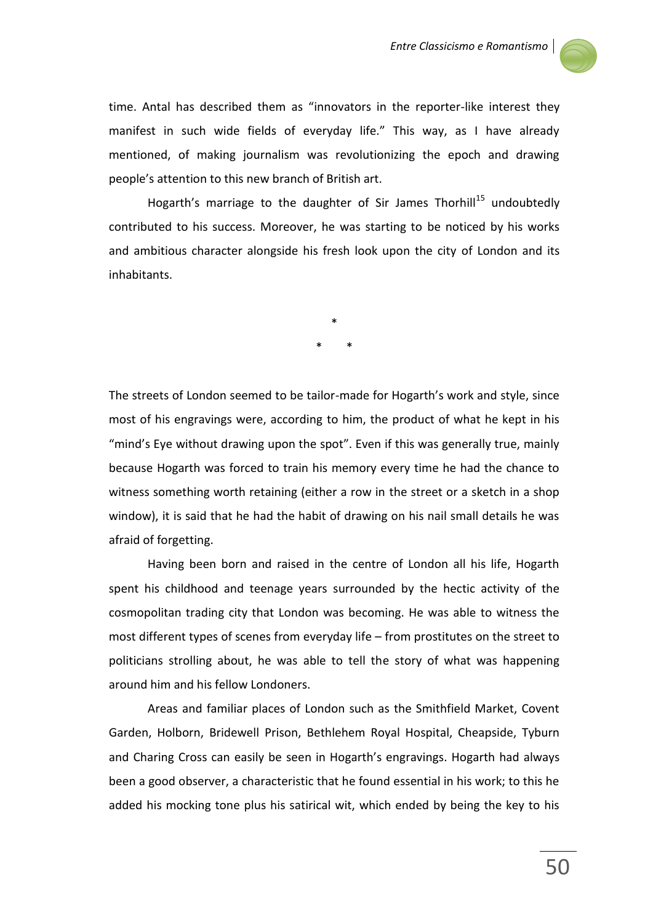

time. Antal has described them as "innovators in the reporter-like interest they manifest in such wide fields of everyday life." This way, as I have already mentioned, of making journalism was revolutionizing the epoch and drawing people's attention to this new branch of British art.

Hogarth's marriage to the daughter of Sir James Thorhill<sup>15</sup> undoubtedly contributed to his success. Moreover, he was starting to be noticed by his works and ambitious character alongside his fresh look upon the city of London and its inhabitants.

> \* \* \*

The streets of London seemed to be tailor-made for Hogarth's work and style, since most of his engravings were, according to him, the product of what he kept in his "mind's Eye without drawing upon the spot". Even if this was generally true, mainly because Hogarth was forced to train his memory every time he had the chance to witness something worth retaining (either a row in the street or a sketch in a shop window), it is said that he had the habit of drawing on his nail small details he was afraid of forgetting.

Having been born and raised in the centre of London all his life, Hogarth spent his childhood and teenage years surrounded by the hectic activity of the cosmopolitan trading city that London was becoming. He was able to witness the most different types of scenes from everyday life – from prostitutes on the street to politicians strolling about, he was able to tell the story of what was happening around him and his fellow Londoners.

Areas and familiar places of London such as the Smithfield Market, Covent Garden, Holborn, Bridewell Prison, Bethlehem Royal Hospital, Cheapside, Tyburn and Charing Cross can easily be seen in Hogarth's engravings. Hogarth had always been a good observer, a characteristic that he found essential in his work; to this he added his mocking tone plus his satirical wit, which ended by being the key to his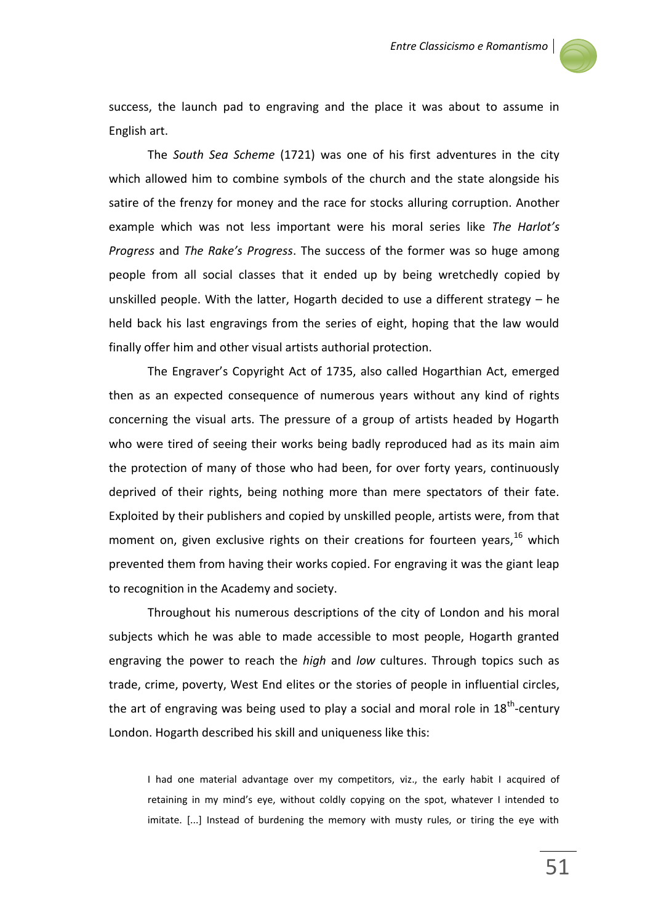

success, the launch pad to engraving and the place it was about to assume in English art.

The *South Sea Scheme* (1721) was one of his first adventures in the city which allowed him to combine symbols of the church and the state alongside his satire of the frenzy for money and the race for stocks alluring corruption. Another example which was not less important were his moral series like *The Harlot's Progress* and *The Rake's Progress*. The success of the former was so huge among people from all social classes that it ended up by being wretchedly copied by unskilled people. With the latter, Hogarth decided to use a different strategy – he held back his last engravings from the series of eight, hoping that the law would finally offer him and other visual artists authorial protection.

The Engraver's Copyright Act of 1735, also called Hogarthian Act, emerged then as an expected consequence of numerous years without any kind of rights concerning the visual arts. The pressure of a group of artists headed by Hogarth who were tired of seeing their works being badly reproduced had as its main aim the protection of many of those who had been, for over forty years, continuously deprived of their rights, being nothing more than mere spectators of their fate. Exploited by their publishers and copied by unskilled people, artists were, from that moment on, given exclusive rights on their creations for fourteen years,  $16$  which prevented them from having their works copied. For engraving it was the giant leap to recognition in the Academy and society.

Throughout his numerous descriptions of the city of London and his moral subjects which he was able to made accessible to most people, Hogarth granted engraving the power to reach the *high* and *low* cultures. Through topics such as trade, crime, poverty, West End elites or the stories of people in influential circles, the art of engraving was being used to play a social and moral role in  $18^{th}$ -century London. Hogarth described his skill and uniqueness like this:

I had one material advantage over my competitors, viz., the early habit I acquired of retaining in my mind's eye, without coldly copying on the spot, whatever I intended to imitate. [...] Instead of burdening the memory with musty rules, or tiring the eye with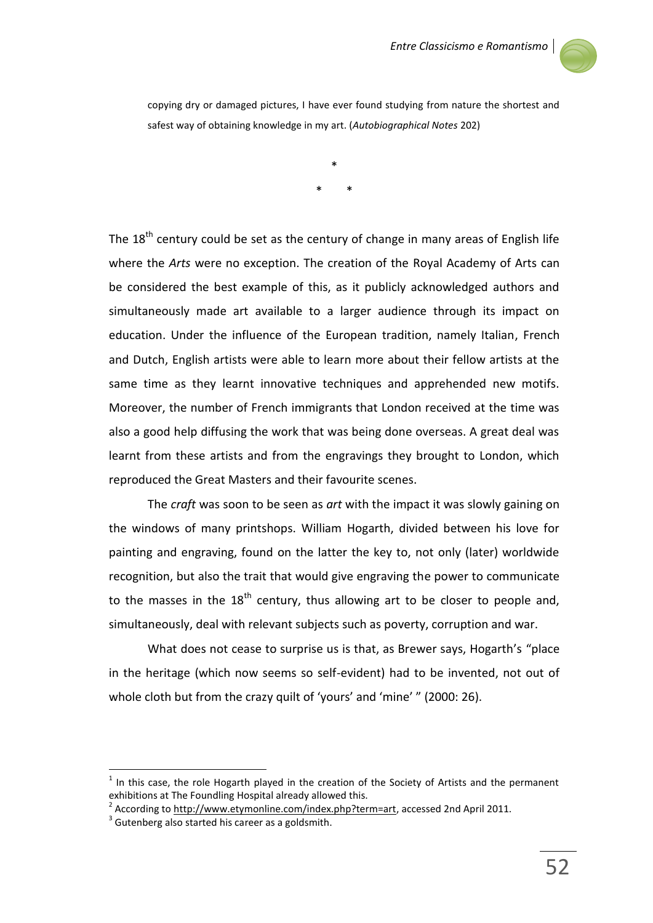

copying dry or damaged pictures, I have ever found studying from nature the shortest and safest way of obtaining knowledge in my art. (*Autobiographical Notes* 202)

> \* \* \*

The  $18<sup>th</sup>$  century could be set as the century of change in many areas of English life where the *Arts* were no exception. The creation of the Royal Academy of Arts can be considered the best example of this, as it publicly acknowledged authors and simultaneously made art available to a larger audience through its impact on education. Under the influence of the European tradition, namely Italian, French and Dutch, English artists were able to learn more about their fellow artists at the same time as they learnt innovative techniques and apprehended new motifs. Moreover, the number of French immigrants that London received at the time was also a good help diffusing the work that was being done overseas. A great deal was learnt from these artists and from the engravings they brought to London, which reproduced the Great Masters and their favourite scenes.

The *craft* was soon to be seen as *art* with the impact it was slowly gaining on the windows of many printshops. William Hogarth, divided between his love for painting and engraving, found on the latter the key to, not only (later) worldwide recognition, but also the trait that would give engraving the power to communicate to the masses in the  $18<sup>th</sup>$  century, thus allowing art to be closer to people and, simultaneously, deal with relevant subjects such as poverty, corruption and war.

What does not cease to surprise us is that, as Brewer says, Hogarth's "place in the heritage (which now seems so self-evident) had to be invented, not out of whole cloth but from the crazy quilt of 'yours' and 'mine' " (2000: 26).

 $\ddot{\phantom{a}}$ 

<sup>1</sup> In this case, the role Hogarth played in the creation of the Society of Artists and the permanent exhibitions at The Foundling Hospital already allowed this.

<sup>&</sup>lt;sup>2</sup> According t[o http://www.etymonline.com/index.php?term=art,](http://www.etymonline.com/index.php?term=art) accessed 2nd April 2011.

 $3$  Gutenberg also started his career as a goldsmith.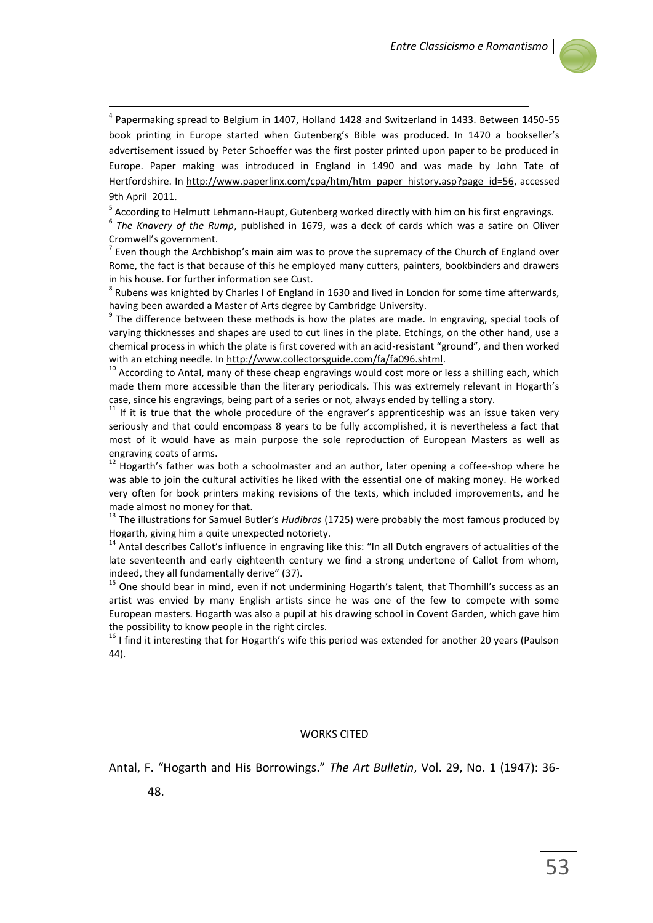

<sup>4</sup> Papermaking spread to Belgium in 1407, Holland 1428 and Switzerland in 1433. Between 1450-55 book printing in Europe started when Gutenberg's Bible was produced. In 1470 a bookseller's advertisement issued by Peter Schoeffer was the first poster printed upon paper to be produced in Europe. Paper making was introduced in England in 1490 and was made by John Tate of Hertfordshire. In [http://www.paperlinx.com/cpa/htm/htm\\_paper\\_history.asp?page\\_id=56,](http://www.paperlinx.com/cpa/htm/htm_paper_history.asp?page_id=56) accessed 9th April 2011.

<sup>5</sup> According to Helmutt Lehmann-Haupt, Gutenberg worked directly with him on his first engravings.

6 *The Knavery of the Rump*, published in 1679, was a deck of cards which was a satire on Oliver Cromwell's government.

 $<sup>7</sup>$  Even though the Archbishop's main aim was to prove the supremacy of the Church of England over</sup> Rome, the fact is that because of this he employed many cutters, painters, bookbinders and drawers in his house. For further information see Cust.

 $^8$  Rubens was knighted by Charles I of England in 1630 and lived in London for some time afterwards, having been awarded a Master of Arts degree by Cambridge University.

 $9$  The difference between these methods is how the plates are made. In engraving, special tools of varying thicknesses and shapes are used to cut lines in the plate. Etchings, on the other hand, use a chemical process in which the plate is first covered with an acid-resistant "ground", and then worked with an etching needle. I[n http://www.collectorsguide.com/fa/fa096.shtml.](http://www.collectorsguide.com/fa/fa096.shtml)

 $10$  According to Antal, many of these cheap engravings would cost more or less a shilling each, which made them more accessible than the literary periodicals. This was extremely relevant in Hogarth's case, since his engravings, being part of a series or not, always ended by telling a story.

 $11$  If it is true that the whole procedure of the engraver's apprenticeship was an issue taken very seriously and that could encompass 8 years to be fully accomplished, it is nevertheless a fact that most of it would have as main purpose the sole reproduction of European Masters as well as engraving coats of arms.

<sup>12</sup> Hogarth's father was both a schoolmaster and an author, later opening a coffee-shop where he was able to join the cultural activities he liked with the essential one of making money. He worked very often for book printers making revisions of the texts, which included improvements, and he made almost no money for that.

<sup>13</sup> The illustrations for Samuel Butler's *Hudibras* (1725) were probably the most famous produced by Hogarth, giving him a quite unexpected notoriety.

<sup>14</sup> Antal describes Callot's influence in engraving like this: "In all Dutch engravers of actualities of the late seventeenth and early eighteenth century we find a strong undertone of Callot from whom, indeed, they all fundamentally derive" (37).

<sup>15</sup> One should bear in mind, even if not undermining Hogarth's talent, that Thornhill's success as an artist was envied by many English artists since he was one of the few to compete with some European masters. Hogarth was also a pupil at his drawing school in Covent Garden, which gave him the possibility to know people in the right circles.

 $16$  I find it interesting that for Hogarth's wife this period was extended for another 20 years (Paulson 44).

## WORKS CITED

Antal, F. "Hogarth and His Borrowings." *The Art Bulletin*, Vol. 29, No. 1 (1947): 36-

48.

1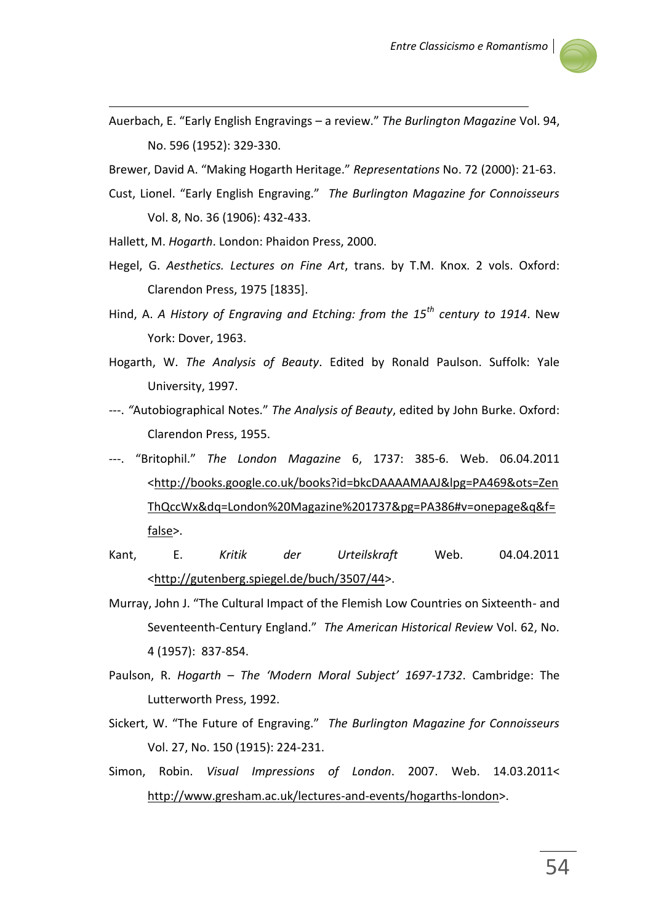

Auerbach, E. "Early English Engravings – a review." *The Burlington Magazine* Vol. 94, No. 596 (1952): 329-330.

Brewer, David A. "Making Hogarth Heritage." *Representations* No. 72 (2000): 21-63.

- Cust, Lionel. "Early English Engraving." *The Burlington Magazine for Connoisseurs* Vol. 8, No. 36 (1906): 432-433.
- Hallett, M. *Hogarth*. London: Phaidon Press, 2000.

1

- Hegel, G. *Aesthetics. Lectures on Fine Art*, trans. by T.M. Knox. 2 vols. Oxford: Clarendon Press, 1975 [1835].
- Hind, A. *A History of Engraving and Etching: from the 15th century to 1914*. New York: Dover, 1963.
- Hogarth, W. *The Analysis of Beauty*. Edited by Ronald Paulson. Suffolk: Yale University, 1997.
- ---. *"*Autobiographical Notes." *The Analysis of Beauty*, edited by John Burke. Oxford: Clarendon Press, 1955.
- ---. "Britophil." *The London Magazine* 6, 1737: 385-6. Web. 06.04.2011 [<http://books.google.co.uk/books?id=bkcDAAAAMAAJ&lpg=PA469&ots=Zen](http://books.google.co.uk/books?id=bkcDAAAAMAAJ&lpg=PA469&ots=ZenThQccWx&dq=London%20Magazine%201737&pg=PA386#v=onepage&q&f=false) [ThQccWx&dq=London%20Magazine%201737&pg=PA386#v=onepage&q&f=](http://books.google.co.uk/books?id=bkcDAAAAMAAJ&lpg=PA469&ots=ZenThQccWx&dq=London%20Magazine%201737&pg=PA386#v=onepage&q&f=false) [false>](http://books.google.co.uk/books?id=bkcDAAAAMAAJ&lpg=PA469&ots=ZenThQccWx&dq=London%20Magazine%201737&pg=PA386#v=onepage&q&f=false).
- Kant, E. *Kritik der Urteilskraft* Web. 04.04.2011 [<http://gutenberg.spiegel.de/buch/3507/44>](http://gutenberg.spiegel.de/buch/3507/44).
- Murray, John J. "The Cultural Impact of the Flemish Low Countries on Sixteenth- and Seventeenth-Century England." *The American Historical Review* Vol. 62, No. 4 (1957): 837-854.
- Paulson, R. *Hogarth – The 'Modern Moral Subject' 1697-1732*. Cambridge: The Lutterworth Press, 1992.
- Sickert, W. "The Future of Engraving." *The Burlington Magazine for Connoisseurs* Vol. 27, No. 150 (1915): 224-231.
- Simon, Robin. *Visual Impressions of London*. 2007. Web. 14.03.2011< [http://www.gresham.ac.uk/lectures-and-events/hogarths-london>](http://www.gresham.ac.uk/lectures-and-events/hogarths-london).